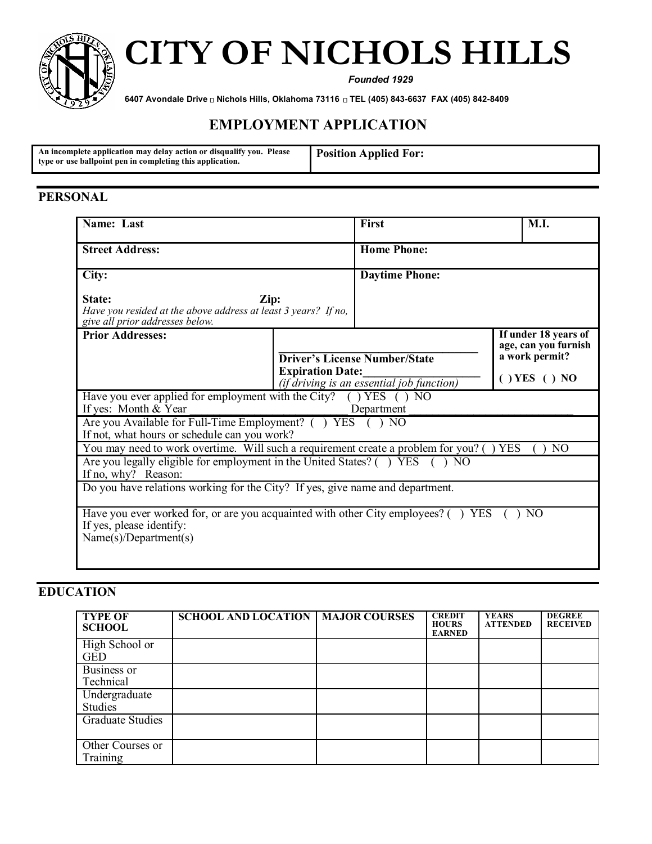

# **CITY OF NICHOLS HILLS**

*Founded 1929*

**6407 Avondale Drive Nichols Hills, Oklahoma 73116 TEL (405) 843-6637 FAX (405) 842-8409**

# **EMPLOYMENT APPLICATION**

#### **PERSONAL**

| Name: Last                                                                                                                             |  | First                                | M.I.                                         |  |
|----------------------------------------------------------------------------------------------------------------------------------------|--|--------------------------------------|----------------------------------------------|--|
| <b>Street Address:</b>                                                                                                                 |  | <b>Home Phone:</b>                   |                                              |  |
| City:                                                                                                                                  |  | <b>Daytime Phone:</b>                |                                              |  |
| State:<br>Zip:<br>Have you resided at the above address at least 3 years? If no,<br>give all prior addresses below.                    |  |                                      |                                              |  |
| <b>Prior Addresses:</b>                                                                                                                |  |                                      | If under 18 years of<br>age, can you furnish |  |
|                                                                                                                                        |  | <b>Driver's License Number/State</b> | a work permit?                               |  |
| <b>Expiration Date:</b><br>(if driving is an essential job function)                                                                   |  |                                      | $( )$ YES $( )$ NO                           |  |
| Have you ever applied for employment with the City? $($ $)$ YES $( )$ NO<br>If yes: Month $& \text{Year}$<br>Department                |  |                                      |                                              |  |
| Are you Available for Full-Time Employment? () YES<br>NO.<br>If not, what hours or schedule can you work?                              |  |                                      |                                              |  |
| You may need to work overtime. Will such a requirement create a problem for you? ()<br><b>YES</b><br>NO <sub>1</sub>                   |  |                                      |                                              |  |
| Are you legally eligible for employment in the United States? () YES (<br>$\overline{N}$<br>If no, why? Reason:                        |  |                                      |                                              |  |
| Do you have relations working for the City? If yes, give name and department.                                                          |  |                                      |                                              |  |
| Have you ever worked for, or are you acquainted with other City employees? () YES<br>If yes, please identify:<br>Name(s)/Department(s) |  |                                      | NO.                                          |  |

# **EDUCATION**

| <b>TYPE OF</b><br><b>SCHOOL</b> | <b>SCHOOL AND LOCATION   MAJOR COURSES</b> | <b>CREDIT</b><br><b>HOURS</b><br><b>EARNED</b> | <b>YEARS</b><br><b>ATTENDED</b> | <b>DEGREE</b><br><b>RECEIVED</b> |
|---------------------------------|--------------------------------------------|------------------------------------------------|---------------------------------|----------------------------------|
| High School or<br><b>GED</b>    |                                            |                                                |                                 |                                  |
| Business or<br>Technical        |                                            |                                                |                                 |                                  |
| Undergraduate<br><b>Studies</b> |                                            |                                                |                                 |                                  |
| <b>Graduate Studies</b>         |                                            |                                                |                                 |                                  |
| Other Courses or<br>Training    |                                            |                                                |                                 |                                  |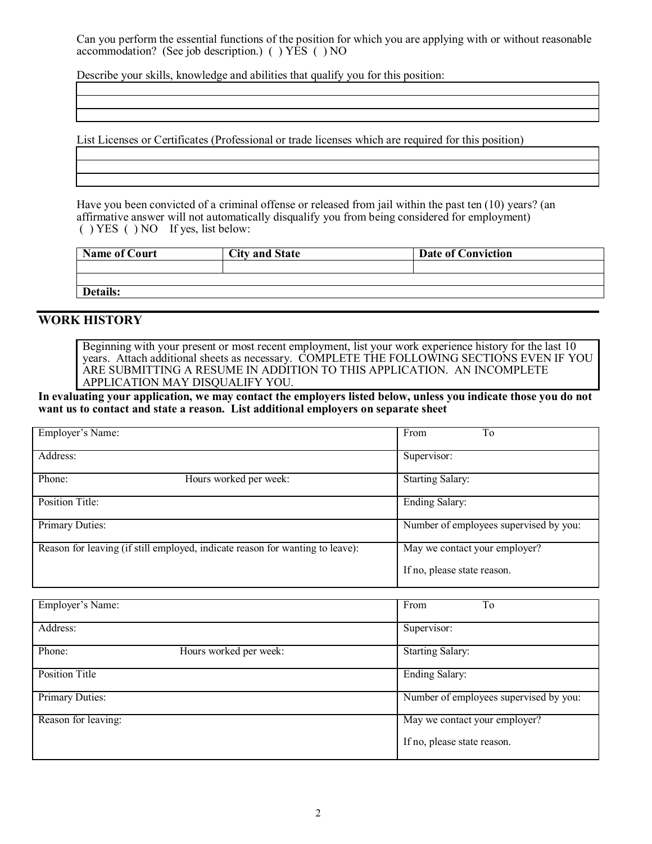Can you perform the essential functions of the position for which you are applying with or without reasonable accommodation? (See job description.)( ) YES ( ) NO

Describe your skills, knowledge and abilities that qualify you for this position:

List Licenses or Certificates (Professional or trade licenses which are required for this position)

Have you been convicted of a criminal offense or released from jail within the past ten (10) years? (an affirmative answer will not automatically disqualify you from being considered for employment) ( ) YES ( ) NO If yes, list below:

| <b>Name of Court</b> | <b>City and State</b> | <b>Date of Conviction</b> |
|----------------------|-----------------------|---------------------------|
|                      |                       |                           |
|                      |                       |                           |
| Details:             |                       |                           |

#### **WORK HISTORY**

Beginning with your present or most recent employment, list your work experience history for the last 10 years. Attach additional sheets as necessary. COMPLETE THE FOLLOWING SECTIONS EVEN IF YOU ARE SUBMITTING A RESUME IN ADDITION TO THIS APPLICATION. AN INCOMPLETE APPLICATION MAY DISQUALIFY YOU.

**In evaluating your application, we may contact the employers listed below, unless you indicate those you do not want us to contact and state a reason. List additional employers on separate sheet**

| Employer's Name: |                                                                               | To<br>From                             |
|------------------|-------------------------------------------------------------------------------|----------------------------------------|
| Address:         |                                                                               | Supervisor:                            |
| Phone:           | Hours worked per week:                                                        | <b>Starting Salary:</b>                |
| Position Title:  |                                                                               | <b>Ending Salary:</b>                  |
| Primary Duties:  |                                                                               | Number of employees supervised by you: |
|                  | Reason for leaving (if still employed, indicate reason for wanting to leave): | May we contact your employer?          |
|                  |                                                                               | If no, please state reason.            |

| Employer's Name:      |                        | From<br>To                             |
|-----------------------|------------------------|----------------------------------------|
| Address:              |                        | Supervisor:                            |
| Phone:                | Hours worked per week: | <b>Starting Salary:</b>                |
| <b>Position Title</b> |                        | <b>Ending Salary:</b>                  |
| Primary Duties:       |                        | Number of employees supervised by you: |
| Reason for leaving:   |                        | May we contact your employer?          |
|                       |                        | If no, please state reason.            |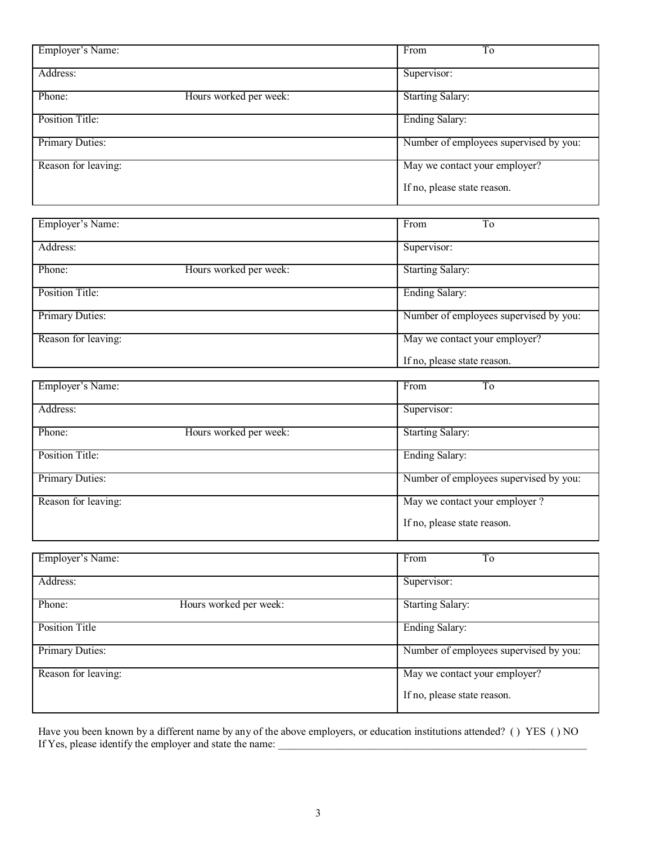| Address:<br>Supervisor:<br>Phone:<br>Hours worked per week:<br><b>Starting Salary:</b> |                                        |
|----------------------------------------------------------------------------------------|----------------------------------------|
|                                                                                        |                                        |
|                                                                                        |                                        |
| <b>Ending Salary:</b><br>Position Title:                                               |                                        |
| Primary Duties:                                                                        | Number of employees supervised by you: |
| Reason for leaving:<br>May we contact your employer?                                   |                                        |
| If no, please state reason.                                                            |                                        |
|                                                                                        |                                        |
| Employer's Name:<br>From<br>T <sub>o</sub>                                             |                                        |
| Address:<br>Supervisor:                                                                |                                        |
| <b>Starting Salary:</b><br>Phone:<br>Hours worked per week:                            |                                        |
| <b>Ending Salary:</b><br><b>Position Title:</b>                                        |                                        |
| Primary Duties:                                                                        | Number of employees supervised by you: |
| May we contact your employer?<br>Reason for leaving:                                   |                                        |
| If no, please state reason.                                                            |                                        |
| Employer's Name:<br>From<br>T <sub>o</sub>                                             |                                        |
| Address:<br>Supervisor:                                                                |                                        |
| <b>Starting Salary:</b><br>Hours worked per week:<br>Phone:                            |                                        |
| <b>Position Title:</b><br><b>Ending Salary:</b>                                        |                                        |
| Primary Duties:                                                                        | Number of employees supervised by you: |
|                                                                                        |                                        |
| May we contact your employer?<br>Reason for leaving:                                   |                                        |
| If no, please state reason.                                                            |                                        |
|                                                                                        |                                        |
| Employer's Name:<br>From<br>T <sub>o</sub>                                             |                                        |
| Address:<br>Supervisor:                                                                |                                        |
| Phone:<br><b>Starting Salary:</b><br>Hours worked per week:                            |                                        |
| <b>Position Title</b><br><b>Ending Salary:</b>                                         |                                        |
| Primary Duties:                                                                        | Number of employees supervised by you: |
| Reason for leaving:<br>May we contact your employer?                                   |                                        |

Have you been known by a different name by any of the above employers, or education institutions attended? ( ) YES ( ) NO If Yes, please identify the employer and state the name: \_\_\_\_\_\_\_\_\_\_\_\_\_\_\_\_\_\_\_\_\_\_\_\_\_\_\_\_\_\_\_\_\_\_\_\_\_\_\_\_\_\_\_\_\_\_\_\_\_\_\_\_\_\_\_\_\_\_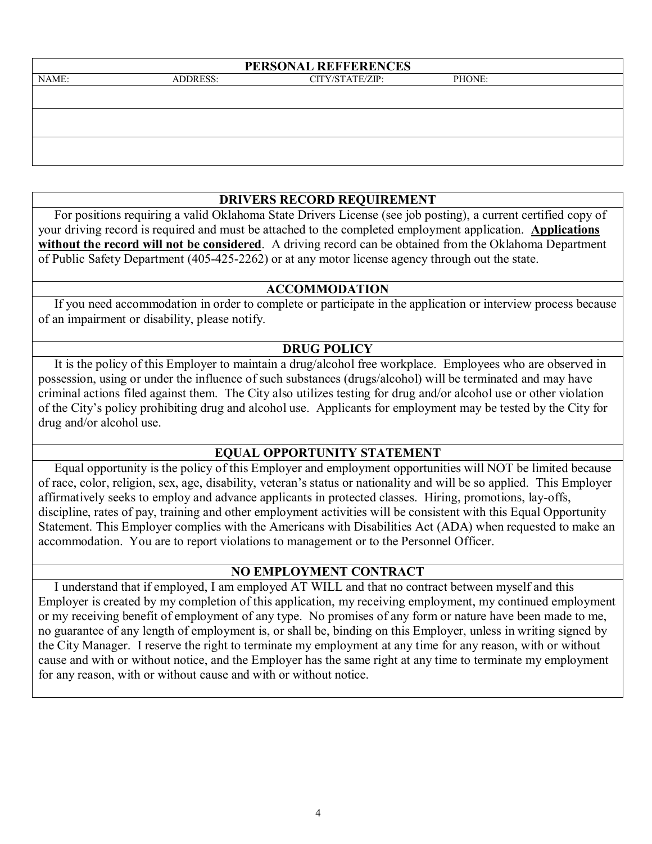| PERSONAL REFFERENCES |                 |                 |        |  |
|----------------------|-----------------|-----------------|--------|--|
| NAME:                | <b>ADDRESS:</b> | CITY/STATE/ZIP: | PHONE: |  |
|                      |                 |                 |        |  |
|                      |                 |                 |        |  |
|                      |                 |                 |        |  |
|                      |                 |                 |        |  |
|                      |                 |                 |        |  |
|                      |                 |                 |        |  |

### **DRIVERS RECORD REQUIREMENT**

 For positions requiring a valid Oklahoma State Drivers License (see job posting), a current certified copy of your driving record is required and must be attached to the completed employment application. **Applications without the record will not be considered**. A driving record can be obtained from the Oklahoma Department of Public Safety Department (405-425-2262) or at any motor license agency through out the state.

#### **ACCOMMODATION**

 If you need accommodation in order to complete or participate in the application or interview process because of an impairment or disability, please notify.

#### **DRUG POLICY**

 It is the policy of this Employer to maintain a drug/alcohol free workplace. Employees who are observed in possession, using or under the influence of such substances (drugs/alcohol) will be terminated and may have criminal actions filed against them. The City also utilizes testing for drug and/or alcohol use or other violation of the City's policy prohibiting drug and alcohol use. Applicants for employment may be tested by the City for drug and/or alcohol use.

#### **EQUAL OPPORTUNITY STATEMENT**

 Equal opportunity is the policy of this Employer and employment opportunities will NOT be limited because of race, color, religion, sex, age, disability, veteran's status or nationality and will be so applied. This Employer affirmatively seeks to employ and advance applicants in protected classes. Hiring, promotions, lay-offs, discipline, rates of pay, training and other employment activities will be consistent with this Equal Opportunity Statement. This Employer complies with the Americans with Disabilities Act (ADA) when requested to make an accommodation. You are to report violations to management or to the Personnel Officer.

#### **NO EMPLOYMENT CONTRACT**

 I understand that if employed, I am employed AT WILL and that no contract between myself and this Employer is created by my completion of this application, my receiving employment, my continued employment or my receiving benefit of employment of any type. No promises of any form or nature have been made to me, no guarantee of any length of employment is, or shall be, binding on this Employer, unless in writing signed by the City Manager. I reserve the right to terminate my employment at any time for any reason, with or without cause and with or without notice, and the Employer has the same right at any time to terminate my employment for any reason, with or without cause and with or without notice.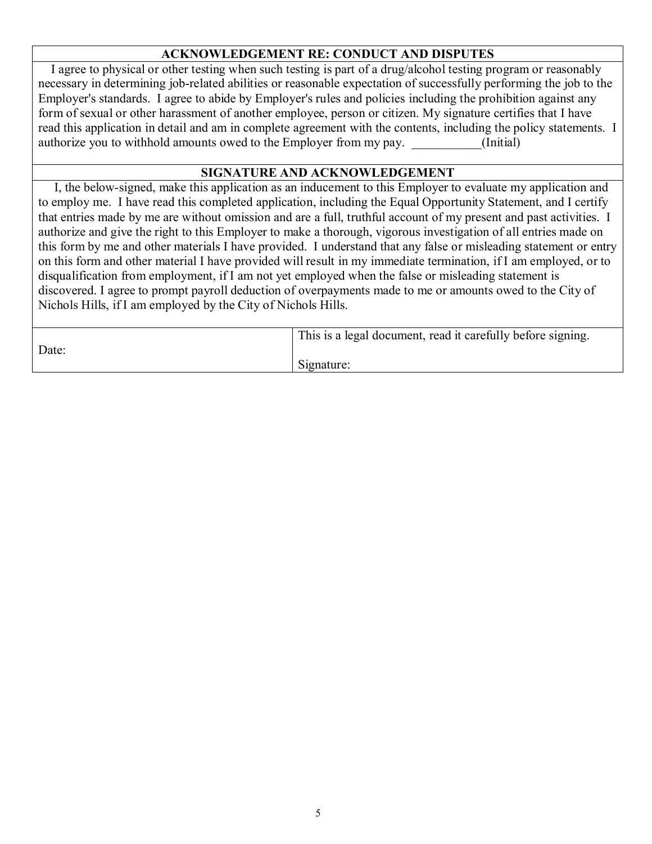# **ACKNOWLEDGEMENT RE: CONDUCT AND DISPUTES**

 I agree to physical or other testing when such testing is part of a drug/alcohol testing program or reasonably necessary in determining job-related abilities or reasonable expectation of successfully performing the job to the Employer's standards. I agree to abide by Employer's rules and policies including the prohibition against any form of sexual or other harassment of another employee, person or citizen. My signature certifies that I have read this application in detail and am in complete agreement with the contents, including the policy statements. I authorize you to withhold amounts owed to the Employer from my pay. (Initial)

#### **SIGNATURE AND ACKNOWLEDGEMENT**

 I, the below-signed, make this application as an inducement to this Employer to evaluate my application and to employ me. I have read this completed application, including the Equal Opportunity Statement, and I certify that entries made by me are without omission and are a full, truthful account of my present and past activities. I authorize and give the right to this Employer to make a thorough, vigorous investigation of all entries made on this form by me and other materials I have provided. I understand that any false or misleading statement or entry on this form and other material I have provided will result in my immediate termination, if I am employed, or to disqualification from employment, if I am not yet employed when the false or misleading statement is discovered. I agree to prompt payroll deduction of overpayments made to me or amounts owed to the City of Nichols Hills, if I am employed by the City of Nichols Hills.

|       | This is a legal document, read it carefully before signing. |
|-------|-------------------------------------------------------------|
| Date: | Signature:                                                  |
|       |                                                             |